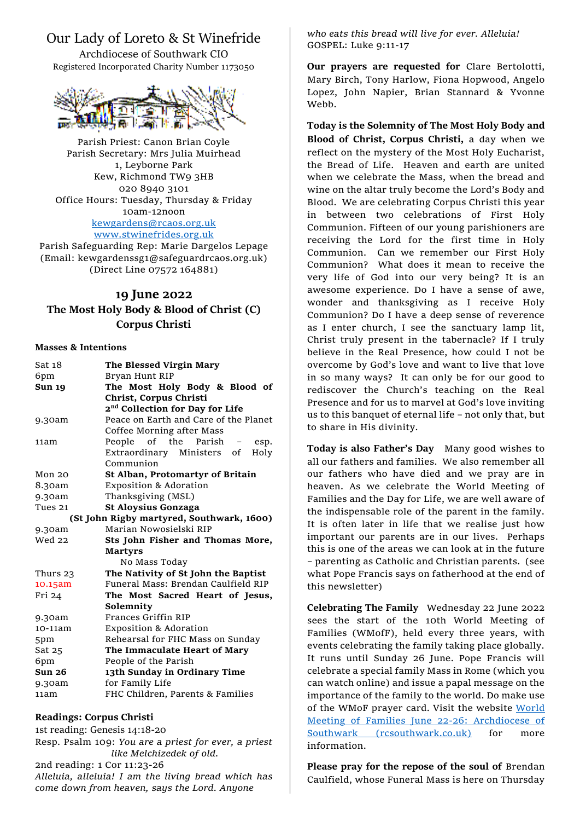## Our Lady of Loreto & St Winefride

Archdiocese of Southwark CIO Registered Incorporated Charity Number 1173050



Parish Priest: Canon Brian Coyle Parish Secretary: Mrs Julia Muirhead 1, Leyborne Park Kew, Richmond TW9 3HB 020 8940 3101 Office Hours: Tuesday, Thursday & Friday 10am-12noon [kewgardens@rcaos.org.uk](mailto:kewgardens@rcaos.org.uk) [www.stwinefrides.org.uk](http://www.stwinefrides.org.uk/)

Parish Safeguarding Rep: Marie Dargelos Lepage (Email: kewgardenssg1@safeguardrcaos.org.uk) (Direct Line 07572 164881)

## **19 June 2022 The Most Holy Body & Blood of Christ (C) Corpus Christi**

## **Masses & Intentions**

| Sat 18                                    | The Blessed Virgin Mary                     |
|-------------------------------------------|---------------------------------------------|
| 6pm                                       | Bryan Hunt RIP                              |
| <b>Sun 19</b>                             | The Most Holy Body & Blood of               |
|                                           | Christ, Corpus Christi                      |
|                                           | 2 <sup>nd</sup> Collection for Day for Life |
| 9.30am                                    | Peace on Earth and Care of the Planet       |
|                                           | Coffee Morning after Mass                   |
| 11am                                      | People of the Parish -<br>esp.              |
|                                           | Extraordinary Ministers of<br>Holy          |
|                                           | Communion                                   |
| Mon <sub>20</sub>                         | St Alban, Protomartyr of Britain            |
| 8.30am                                    | <b>Exposition &amp; Adoration</b>           |
| 9.30am                                    | Thanksgiving (MSL)                          |
| Tues 21                                   | <b>St Aloysius Gonzaga</b>                  |
| (St John Rigby martyred, Southwark, 1600) |                                             |
| 9.30am                                    | Marian Nowosielski RIP                      |
| <b>Wed 22</b>                             | Sts John Fisher and Thomas More,            |
|                                           | <b>Martyrs</b>                              |
|                                           | No Mass Today                               |
| Thurs 23                                  | The Nativity of St John the Baptist         |
| $10.15$ am                                | Funeral Mass: Brendan Caulfield RIP         |
| Fri 24                                    | The Most Sacred Heart of Jesus,             |
|                                           | Solemnity                                   |
| 9.30am                                    | Frances Griffin RIP                         |
| 10-11am                                   | <b>Exposition &amp; Adoration</b>           |
| 5pm                                       | Rehearsal for FHC Mass on Sunday            |
| Sat 25                                    | The Immaculate Heart of Mary                |
| 6pm                                       | People of the Parish                        |
| Sun <sub>26</sub>                         | 13th Sunday in Ordinary Time                |
| 9.30am                                    | for Family Life                             |
| 11am                                      | FHC Children, Parents & Families            |

## **Readings: Corpus Christi**

1st reading: Genesis 14:18-20 Resp. Psalm 109: *You are a priest for ever, a priest like Melchizedek of old.* 2nd reading: 1 Cor 11:23-26 *Alleluia, alleluia! I am the living bread which has* 

*come down from heaven, says the Lord. Anyone*

*who eats this bread will live for ever. Alleluia!* GOSPEL: Luke 9:11-17

**Our prayers are requested for** Clare Bertolotti, Mary Birch, Tony Harlow, Fiona Hopwood, Angelo Lopez, John Napier, Brian Stannard & Yvonne Webb.

**Today is the Solemnity of The Most Holy Body and Blood of Christ, Corpus Christi,** a day when we reflect on the mystery of the Most Holy Eucharist, the Bread of Life. Heaven and earth are united when we celebrate the Mass, when the bread and wine on the altar truly become the Lord's Body and Blood. We are celebrating Corpus Christi this year in between two celebrations of First Holy Communion. Fifteen of our young parishioners are receiving the Lord for the first time in Holy Communion. Can we remember our First Holy Communion? What does it mean to receive the very life of God into our very being? It is an awesome experience. Do I have a sense of awe, wonder and thanksgiving as I receive Holy Communion? Do I have a deep sense of reverence as I enter church, I see the sanctuary lamp lit, Christ truly present in the tabernacle? If I truly believe in the Real Presence, how could I not be overcome by God's love and want to live that love in so many ways? It can only be for our good to rediscover the Church's teaching on the Real Presence and for us to marvel at God's love inviting us to this banquet of eternal life – not only that, but to share in His divinity.

**Today is also Father's Day** Many good wishes to all our fathers and families. We also remember all our fathers who have died and we pray are in heaven. As we celebrate the World Meeting of Families and the Day for Life, we are well aware of the indispensable role of the parent in the family. It is often later in life that we realise just how important our parents are in our lives. Perhaps this is one of the areas we can look at in the future – parenting as Catholic and Christian parents. (see what Pope Francis says on fatherhood at the end of this newsletter)

**Celebrating The Family** Wednesday 22 June 2022 sees the start of the 10th World Meeting of Families (WMofF), held every three years, with events celebrating the family taking place globally. It runs until Sunday 26 June. Pope Francis will celebrate a special family Mass in Rome (which you can watch online) and issue a papal message on the importance of the family to the world. Do make use of the WMoF prayer card. Visit the website [World](https://www.rcsouthwark.co.uk/mission/marriage-and-family-life/world-meeting-of-families-june-22-26/)  [Meeting of Families June 22-26: Archdiocese of](https://www.rcsouthwark.co.uk/mission/marriage-and-family-life/world-meeting-of-families-june-22-26/)  [Southwark \(rcsouthwark.co.uk\)](https://www.rcsouthwark.co.uk/mission/marriage-and-family-life/world-meeting-of-families-june-22-26/) for more information.

**Please pray for the repose of the soul of** Brendan Caulfield, whose Funeral Mass is here on Thursday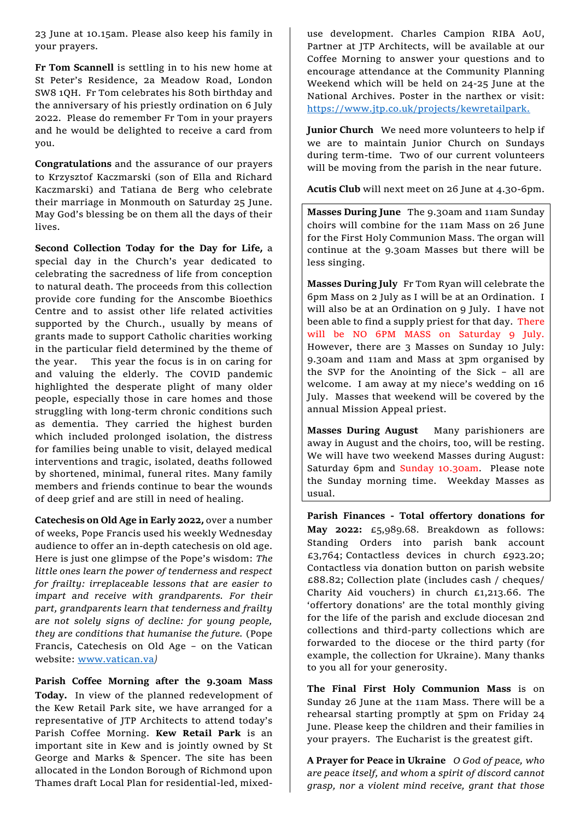23 June at 10.15am. Please also keep his family in your prayers.

**Fr Tom Scannell** is settling in to his new home at St Peter's Residence, 2a Meadow Road, London SW8 1QH. Fr Tom celebrates his 80th birthday and the anniversary of his priestly ordination on 6 July 2022. Please do remember Fr Tom in your prayers and he would be delighted to receive a card from you.

**Congratulations** and the assurance of our prayers to Krzysztof Kaczmarski (son of Ella and Richard Kaczmarski) and Tatiana de Berg who celebrate their marriage in Monmouth on Saturday 25 June. May God's blessing be on them all the days of their lives.

**Second Collection Today for the Day for Life,** a special day in the Church's year dedicated to celebrating the sacredness of life from conception to natural death. The proceeds from this collection provide core funding for the Anscombe Bioethics Centre and to assist other life related activities supported by the Church., usually by means of grants made to support Catholic charities working in the particular field determined by the theme of the year. This year the focus is in on caring for and valuing the elderly. The COVID pandemic highlighted the desperate plight of many older people, especially those in care homes and those struggling with long-term chronic conditions such as dementia. They carried the highest burden which included prolonged isolation, the distress for families being unable to visit, delayed medical interventions and tragic, isolated, deaths followed by shortened, minimal, funeral rites. Many family members and friends continue to bear the wounds of deep grief and are still in need of healing.

**Catechesis on Old Age in Early 2022,** over a number of weeks, Pope Francis used his weekly Wednesday audience to offer an in-depth catechesis on old age. Here is just one glimpse of the Pope's wisdom: *The little ones learn the power of tenderness and respect for frailty: irreplaceable lessons that are easier to impart and receive with grandparents. For their part, grandparents learn that tenderness and frailty are not solely signs of decline: for young people, they are conditions that humanise the future.* (Pope Francis, Catechesis on Old Age – on the Vatican website: [www.vatican.va](http://www.vatican.va/)*)*

**Parish Coffee Morning after the 9.30am Mass Today.** In view of the planned redevelopment of the Kew Retail Park site, we have arranged for a representative of JTP Architects to attend today's Parish Coffee Morning. **Kew Retail Park** is an important site in Kew and is jointly owned by St George and Marks & Spencer. The site has been allocated in the London Borough of Richmond upon Thames draft Local Plan for residential-led, mixeduse development. Charles Campion RIBA AoU, Partner at JTP Architects, will be available at our Coffee Morning to answer your questions and to encourage attendance at the Community Planning Weekend which will be held on 24-25 June at the National Archives. Poster in the narthex or visit: [https://www.jtp.co.uk/projects/kewretailpark.](https://www.jtp.co.uk/projects/kewretailpark)

**Junior Church** We need more volunteers to help if we are to maintain Junior Church on Sundays during term-time. Two of our current volunteers will be moving from the parish in the near future.

**Acutis Club** will next meet on 26 June at 4.30-6pm.

**Masses During June** The 9.30am and 11am Sunday choirs will combine for the 11am Mass on 26 June for the First Holy Communion Mass. The organ will continue at the 9.30am Masses but there will be less singing.

**Masses During July** Fr Tom Ryan will celebrate the 6pm Mass on 2 July as I will be at an Ordination. I will also be at an Ordination on 9 July. I have not been able to find a supply priest for that day. There will be NO 6PM MASS on Saturday 9 July. However, there are 3 Masses on Sunday 10 July: 9.30am and 11am and Mass at 3pm organised by the SVP for the Anointing of the Sick – all are welcome. I am away at my niece's wedding on 16 July. Masses that weekend will be covered by the annual Mission Appeal priest.

**Masses During August** Many parishioners are away in August and the choirs, too, will be resting. We will have two weekend Masses during August: Saturday 6pm and Sunday 10.30am. Please note the Sunday morning time. Weekday Masses as usual.

**Parish Finances - Total offertory donations for May 2022:** £5,989.68. Breakdown as follows: Standing Orders into parish bank account £3,764; Contactless devices in church £923.20; Contactless via donation button on parish website £88.82; Collection plate (includes cash / cheques/ Charity Aid vouchers) in church £1,213.66. The 'offertory donations' are the total monthly giving for the life of the parish and exclude diocesan 2nd collections and third-party collections which are forwarded to the diocese or the third party (for example, the collection for Ukraine). Many thanks to you all for your generosity.

**The Final First Holy Communion Mass** is on Sunday 26 June at the 11am Mass. There will be a rehearsal starting promptly at 5pm on Friday 24 June. Please keep the children and their families in your prayers. The Eucharist is the greatest gift.

**A Prayer for Peace in Ukraine** *O God of peace, who are peace itself, and whom a spirit of discord cannot grasp, nor a violent mind receive, grant that those*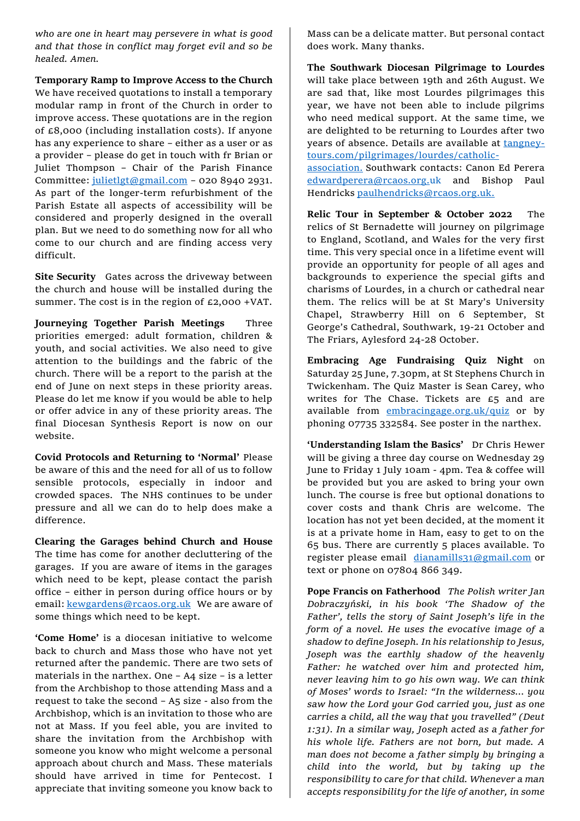*who are one in heart may persevere in what is good and that those in conflict may forget evil and so be healed. Amen.* 

**Temporary Ramp to Improve Access to the Church**

We have received quotations to install a temporary modular ramp in front of the Church in order to improve access. These quotations are in the region of  $E8,000$  (including installation costs). If anyone has any experience to share – either as a user or as a provider – please do get in touch with fr Brian or Juliet Thompson – Chair of the Parish Finance Committee: [julietlgt@gmail.com](mailto:julietlgt@gmail.com) – 020 8940 2931. As part of the longer-term refurbishment of the Parish Estate all aspects of accessibility will be considered and properly designed in the overall plan. But we need to do something now for all who come to our church and are finding access very difficult.

**Site Security** Gates across the driveway between the church and house will be installed during the summer. The cost is in the region of £2,000 +VAT.

**Journeying Together Parish Meetings** Three priorities emerged: adult formation, children & youth, and social activities. We also need to give attention to the buildings and the fabric of the church. There will be a report to the parish at the end of June on next steps in these priority areas. Please do let me know if you would be able to help or offer advice in any of these priority areas. The final Diocesan Synthesis Report is now on our website.

**Covid Protocols and Returning to 'Normal'** Please be aware of this and the need for all of us to follow sensible protocols, especially in indoor and crowded spaces. The NHS continues to be under pressure and all we can do to help does make a difference.

**Clearing the Garages behind Church and House** The time has come for another decluttering of the garages. If you are aware of items in the garages which need to be kept, please contact the parish office – either in person during office hours or by email: [kewgardens@rcaos.org.uk](mailto:kewgardens@rcaos.org.uk)We are aware of some things which need to be kept.

**'Come Home'** is a diocesan initiative to welcome back to church and Mass those who have not yet returned after the pandemic. There are two sets of materials in the narthex. One – A4 size – is a letter from the Archbishop to those attending Mass and a request to take the second – A5 size - also from the Archbishop, which is an invitation to those who are not at Mass. If you feel able, you are invited to share the invitation from the Archbishop with someone you know who might welcome a personal approach about church and Mass. These materials should have arrived in time for Pentecost. I appreciate that inviting someone you know back to

Mass can be a delicate matter. But personal contact does work. Many thanks.

**The Southwark Diocesan Pilgrimage to Lourdes** will take place between 19th and 26th August. We are sad that, like most Lourdes pilgrimages this year, we have not been able to include pilgrims who need medical support. At the same time, we are delighted to be returning to Lourdes after two years of absence. Details are available at [tangney](http://www.tangney-tours.com/pilgrimages/lourdes/catholic-association)[tours.com/pilgrimages/lourdes/catholic-](http://www.tangney-tours.com/pilgrimages/lourdes/catholic-association)

[association.](http://www.tangney-tours.com/pilgrimages/lourdes/catholic-association) Southwark contacts: Canon Ed Perera [edwardperera@rcaos.org.uk](mailto:edwardperera@rcaos.org.uk) and Bishop Paul Hendricks [paulhendricks@rcaos.org.uk.](mailto:paulhendricks@rcaos.org.uk)

**Relic Tour in September & October 2022** The relics of St Bernadette will journey on pilgrimage to England, Scotland, and Wales for the very first time. This very special once in a lifetime event will provide an opportunity for people of all ages and backgrounds to experience the special gifts and charisms of Lourdes, in a church or cathedral near them. The relics will be at St Mary's University Chapel, Strawberry Hill on 6 September, St George's Cathedral, Southwark, 19-21 October and The Friars, Aylesford 24-28 October.

**Embracing Age Fundraising Quiz Night** on Saturday 25 June, 7.30pm, at St Stephens Church in Twickenham. The Quiz Master is Sean Carey, who writes for The Chase. Tickets are £5 and are available from [embracingage.org.uk/quiz](https://a.instlytrk.com/api/trkv2?tid=N2hRVHZnMmwzc2hpcTgrUUdGRDJNZXBldUloYVBhaWpvQjBMQWZ2SXVTU2lxaGVQMUJOQ05OcUJGbUt0MEJlRUxxZzF6TkwxaTJLMURvSU1yY2tNR1YxeDNxcVNBVGhyNmVoR0JiRU5xb3A3cEVvSUtWUXliTTZNQktvaEhVVCtjZ2hRQkdLcitiTFJTckp2bEtCdkhHTmVQaDRBQ3l5Wm5JWlRxT2tnOTdDNUtsTlhaSUJ5MFltMlFndkFUdE9VWEVkbnZvaXBRaGtnS2Ivak55dWh3VzR2bVZuTndzMGdHaTllMVQwS3U4dExYTnRjN2x0MG9RVzkrTmVpZHpQOGYxL1NhTFoyVm85RzVNeXAxQWJ2K20wcGNvRWtyT0N1Unp6T1ZkRjh6MzA9) or by phoning 07735 332584. See poster in the narthex.

**'Understanding Islam the Basics'** Dr Chris Hewer will be giving a three day course on Wednesday 29 June to Friday 1 July 10am - 4pm. Tea & coffee will be provided but you are asked to bring your own lunch. The course is free but optional donations to cover costs and thank Chris are welcome. The location has not yet been decided, at the moment it is at a private home in Ham, easy to get to on the 65 bus. There are currently 5 places available. To register please email[dianamills31@gmail.com](mailto:dianamills31@gmail.com) or text or phone on 07804 866 349.

**Pope Francis on Fatherhood** *The Polish writer Jan Dobraczyński, in his book 'The Shadow of the Father', tells the story of Saint Joseph's life in the form of a novel. He uses the evocative image of a shadow to define Joseph. In his relationship to Jesus, Joseph was the earthly shadow of the heavenly Father: he watched over him and protected him, never leaving him to go his own way. We can think of Moses' words to Israel: "In the wilderness… you saw how the Lord your God carried you, just as one carries a child, all the way that you travelled" (Deut 1:31). In a similar way, Joseph acted as a father for his whole life. Fathers are not born, but made. A man does not become a father simply by bringing a child into the world, but by taking up the responsibility to care for that child. Whenever a man accepts responsibility for the life of another, in some*